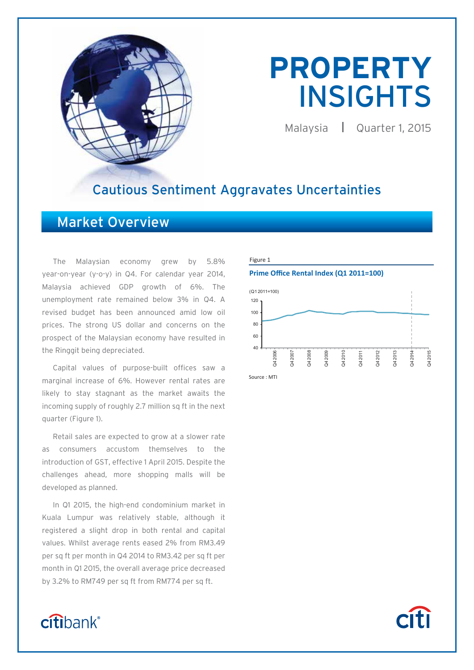

# **PROPERTY**  INSIGHTS

Malaysia | Quarter 1, 2015

# Cautious Sentiment Aggravates Uncertainties

# Market Overview

The Malaysian economy grew by 5.8% year-on-year (y-o-y) in Q4. For calendar year 2014, Malaysia achieved GDP growth of 6%. The unemployment rate remained below 3% in Q4. A revised budget has been announced amid low oil prices. The strong US dollar and concerns on the prospect of the Malaysian economy have resulted in the Ringgit being depreciated.

Capital values of purpose-built offices saw a marginal increase of 6%. However rental rates are likely to stay stagnant as the market awaits the incoming supply of roughly 2.7 million sq ft in the next quarter (Figure 1).

Retail sales are expected to grow at a slower rate as consumers accustom themselves to the introduction of GST, effective 1 April 2015. Despite the challenges ahead, more shopping malls will be developed as planned.

In Q1 2015, the high-end condominium market in Kuala Lumpur was relatively stable, although it registered a slight drop in both rental and capital values. Whilst average rents eased 2% from RM3.49 per sq ft per month in Q4 2014 to RM3.42 per sq ft per month in Q1 2015, the overall average price decreased by 3.2% to RM749 per sq ft from RM774 per sq ft.

#### Figure 1

#### **Prime Office Rental Index (Q1 2011=100)**



# citibank®

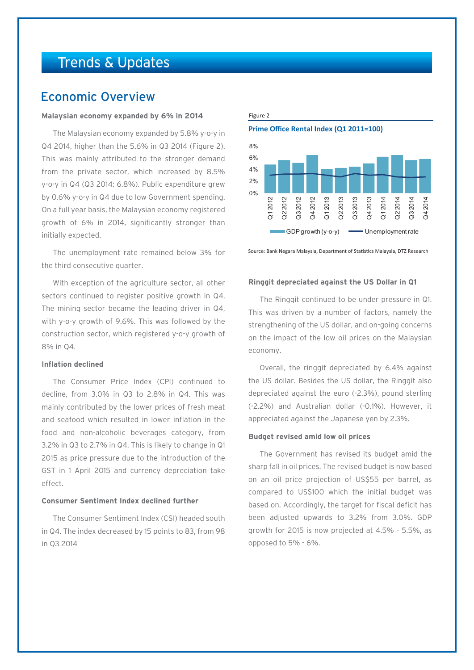# Trends & Updates

## Economic Overview

#### **Malaysian economy expanded by 6% in 2014**

The Malaysian economy expanded by 5.8% y-o-y in Q4 2014, higher than the 5.6% in Q3 2014 (Figure 2). This was mainly attributed to the stronger demand from the private sector, which increased by 8.5% y-o-y in Q4 (Q3 2014: 6.8%). Public expenditure grew by 0.6% y-o-y in Q4 due to low Government spending. On a full year basis, the Malaysian economy registered growth of 6% in 2014, significantly stronger than initially expected.

The unemployment rate remained below 3% for the third consecutive quarter.

With exception of the agriculture sector, all other sectors continued to register positive growth in Q4. The mining sector became the leading driver in Q4, with y-o-y growth of 9.6%. This was followed by the construction sector, which registered y-o-y growth of 8% in Q4.

#### **Inflation declined**

The Consumer Price Index (CPI) continued to decline, from 3.0% in Q3 to 2.8% in Q4. This was mainly contributed by the lower prices of fresh meat and seafood which resulted in lower inflation in the food and non-alcoholic beverages category, from 3.2% in Q3 to 2.7% in Q4. This is likely to change in Q1 2015 as price pressure due to the introduction of the GST in 1 April 2015 and currency depreciation take effect.

### **Consumer Sentiment Index declined further**

The Consumer Sentiment Index (CSI) headed south in Q4. The index decreased by 15 points to 83, from 98 in Q3 2014





Source: Bank Negara Malaysia, Department of Statistics Malaysia, DTZ Research

#### **Ringgit depreciated against the US Dollar in Q1**

The Ringgit continued to be under pressure in Q1. This was driven by a number of factors, namely the strengthening of the US dollar, and on-going concerns on the impact of the low oil prices on the Malaysian economy.

Overall, the ringgit depreciated by 6.4% against the US dollar. Besides the US dollar, the Ringgit also depreciated against the euro (-2.3%), pound sterling (-2.2%) and Australian dollar (-0.1%). However, it appreciated against the Japanese yen by 2.3%.

#### **Budget revised amid low oil prices**

The Government has revised its budget amid the sharp fall in oil prices. The revised budget is now based on an oil price projection of US\$55 per barrel, as compared to US\$100 which the initial budget was based on. Accordingly, the target for fiscal deficit has been adjusted upwards to 3.2% from 3.0%. GDP growth for 2015 is now projected at 4.5% - 5.5%, as opposed to 5% - 6%.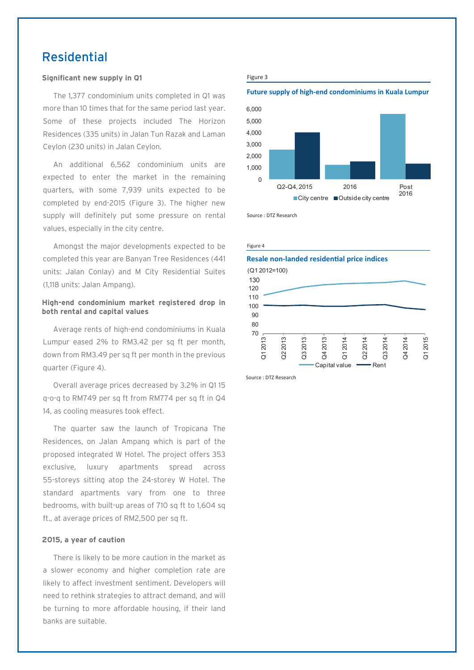# Residential

#### **Significant new supply in Q1**

The 1,377 condominium units completed in Q1 was more than 10 times that for the same period last year. Some of these projects included The Horizon Residences (335 units) in Jalan Tun Razak and Laman Ceylon (230 units) in Jalan Ceylon.

An additional 6,562 condominium units are expected to enter the market in the remaining quarters, with some 7,939 units expected to be completed by end-2015 (Figure 3). The higher new supply will definitely put some pressure on rental values, especially in the city centre.

Amongst the major developments expected to be completed this year are Banyan Tree Residences (441 units: Jalan Conlay) and M City Residential Suites (1,118 units: Jalan Ampang).

#### **High-end condominium market registered drop in both rental and capital values**

Average rents of high-end condominiums in Kuala Lumpur eased 2% to RM3.42 per sq ft per month, down from RM3.49 per sq ft per month in the previous quarter (Figure 4).

Overall average prices decreased by 3.2% in Q1 15 q-o-q to RM749 per sq ft from RM774 per sq ft in Q4 14, as cooling measures took effect.

The quarter saw the launch of Tropicana The Residences, on Jalan Ampang which is part of the proposed integrated W Hotel. The project offers 353 exclusive, luxury apartments spread across 55-storeys sitting atop the 24-storey W Hotel. The standard apartments vary from one to three bedrooms, with built-up areas of 710 sq ft to 1,604 sq ft., at average prices of RM2,500 per sq ft.

#### **2015, a year of caution**

There is likely to be more caution in the market as a slower economy and higher completion rate are likely to affect investment sentiment. Developers will need to rethink strategies to attract demand, and will be turning to more affordable housing, if their land banks are suitable.

#### Figure 3

#### **Future supply of high-end condominiums in Kuala Lumpur**



Source : DTZ Research

Figure 4



Source : DTZ Research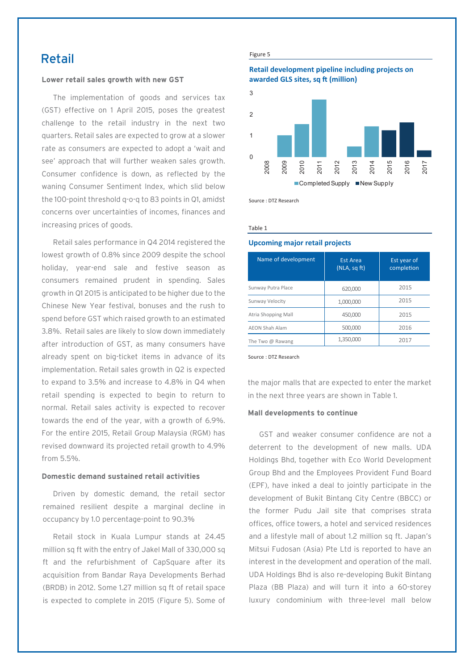## Retail

#### **Lower retail sales growth with new GST**

The implementation of goods and services tax (GST) effective on 1 April 2015, poses the greatest challenge to the retail industry in the next two quarters. Retail sales are expected to grow at a slower rate as consumers are expected to adopt a 'wait and see' approach that will further weaken sales growth. Consumer confidence is down, as reflected by the waning Consumer Sentiment Index, which slid below the 100-point threshold q-o-q to 83 points in Q1, amidst concerns over uncertainties of incomes, finances and increasing prices of goods.

Retail sales performance in Q4 2014 registered the lowest growth of 0.8% since 2009 despite the school holiday, year-end sale and festive season as consumers remained prudent in spending. Sales growth in Q1 2015 is anticipated to be higher due to the Chinese New Year festival, bonuses and the rush to spend before GST which raised growth to an estimated 3.8%. Retail sales are likely to slow down immediately after introduction of GST, as many consumers have already spent on big-ticket items in advance of its implementation. Retail sales growth in Q2 is expected to expand to 3.5% and increase to 4.8% in Q4 when retail spending is expected to begin to return to normal. Retail sales activity is expected to recover towards the end of the year, with a growth of 6.9%. For the entire 2015, Retail Group Malaysia (RGM) has revised downward its projected retail growth to 4.9% from 5.5%.

#### **Domestic demand sustained retail activities**

Driven by domestic demand, the retail sector remained resilient despite a marginal decline in occupancy by 1.0 percentage-point to 90.3%

Retail stock in Kuala Lumpur stands at 24.45 million sq ft with the entry of Jakel Mall of 330,000 sq ft and the refurbishment of CapSquare after its acquisition from Bandar Raya Developments Berhad (BRDB) in 2012. Some 1.27 million sq ft of retail space is expected to complete in 2015 (Figure 5). Some of

#### Figure 5

#### **Retail development pipeline including projects on awarded GLS sites, sq ft (million)**



Source : DTZ Research

Table 1

#### **Upcoming major retail projects**

| Name of development     | <b>Est Area</b><br>(NLA, sq ft) | <b>Est year of</b><br>completion |
|-------------------------|---------------------------------|----------------------------------|
| Sunway Putra Place      | 620,000                         | 2015                             |
| Sunway Velocity         | 1,000,000                       | 2015                             |
| Atria Shopping Mall     | 450,000                         | 2015                             |
| <b>AEON Shah Alam</b>   | 500,000                         | 2016                             |
| The Two $\omega$ Rawang | 1,350,000                       | 2017                             |

Source : DTZ Research

the major malls that are expected to enter the market in the next three years are shown in Table 1.

#### **Mall developments to continue**

GST and weaker consumer confidence are not a deterrent to the development of new malls. UDA Holdings Bhd, together with Eco World Development Group Bhd and the Employees Provident Fund Board (EPF), have inked a deal to jointly participate in the development of Bukit Bintang City Centre (BBCC) or the former Pudu Jail site that comprises strata offices, office towers, a hotel and serviced residences and a lifestyle mall of about 1.2 million sq ft. Japan's Mitsui Fudosan (Asia) Pte Ltd is reported to have an interest in the development and operation of the mall. UDA Holdings Bhd is also re-developing Bukit Bintang Plaza (BB Plaza) and will turn it into a 60-storey luxury condominium with three-level mall below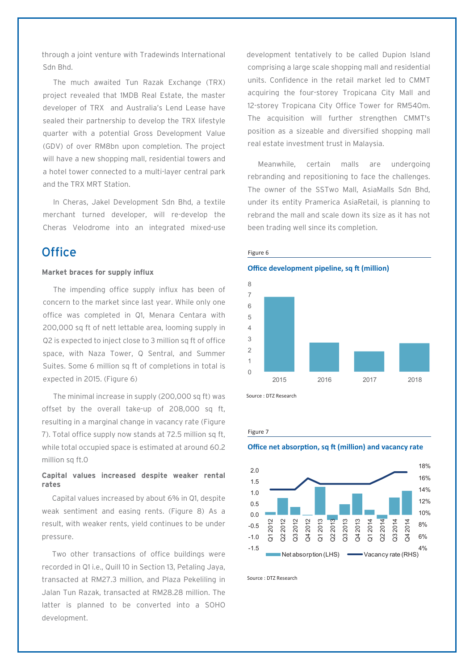through a joint venture with Tradewinds International Sdn Bhd.

The much awaited Tun Razak Exchange (TRX) project revealed that 1MDB Real Estate, the master developer of TRX and Australia's Lend Lease have sealed their partnership to develop the TRX lifestyle quarter with a potential Gross Development Value (GDV) of over RM8bn upon completion. The project will have a new shopping mall, residential towers and a hotel tower connected to a multi-layer central park and the TRX MRT Station.

In Cheras, Jakel Development Sdn Bhd, a textile merchant turned developer, will re-develop the Cheras Velodrome into an integrated mixed-use

# $Office$  Figure 6

#### **Market braces for supply influx**

The impending office supply influx has been of concern to the market since last year. While only one office was completed in Q1, Menara Centara with 200,000 sq ft of nett lettable area, looming supply in Q2 is expected to inject close to 3 million sq ft of office space, with Naza Tower, Q Sentral, and Summer Suites. Some 6 million sq ft of completions in total is expected in 2015. (Figure 6)

The minimal increase in supply (200,000 sq ft) was offset by the overall take-up of 208,000 sq ft, resulting in a marginal change in vacancy rate (Figure 7). Total office supply now stands at 72.5 million sq ft, while total occupied space is estimated at around 60.2 million sq ft.0

#### **Capital values increased despite weaker rental rates**

Capital values increased by about 6% in Q1, despite weak sentiment and easing rents. (Figure 8) As a result, with weaker rents, yield continues to be under pressure.

Two other transactions of office buildings were recorded in Q1 i.e., Quill 10 in Section 13, Petaling Jaya, transacted at RM27.3 million, and Plaza Pekeliling in Jalan Tun Razak, transacted at RM28.28 million. The latter is planned to be converted into a SOHO development.

development tentatively to be called Dupion Island comprising a large scale shopping mall and residential units. Confidence in the retail market led to CMMT acquiring the four-storey Tropicana City Mall and 12-storey Tropicana City Office Tower for RM540m. The acquisition will further strengthen CMMT's position as a sizeable and diversified shopping mall real estate investment trust in Malaysia.

Meanwhile, certain malls are undergoing rebranding and repositioning to face the challenges. The owner of the SSTwo Mall, AsiaMalls Sdn Bhd, under its entity Pramerica AsiaRetail, is planning to rebrand the mall and scale down its size as it has not been trading well since its completion.



**Office development pipeline, sq ft (million)** 

Source : DTZ Research

#### Figure 7

**Office net absorption, sq ft (million) and vacancy rate** 



Source : DTZ Research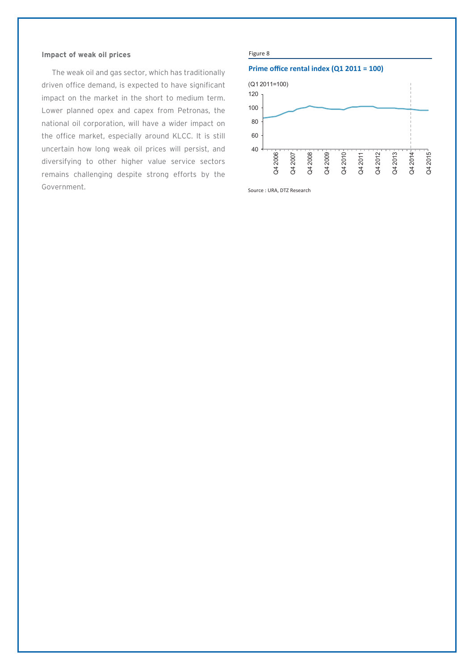#### **Impact of weak oil prices**

The weak oil and gas sector, which has traditionally driven office demand, is expected to have significant impact on the market in the short to medium term. Lower planned opex and capex from Petronas, the national oil corporation, will have a wider impact on the office market, especially around KLCC. It is still uncertain how long weak oil prices will persist, and diversifying to other higher value service sectors remains challenging despite strong efforts by the Government.

#### Figure 8

#### **Prime office rental index (Q1 2011 = 100)**



Source : URA, DTZ Research